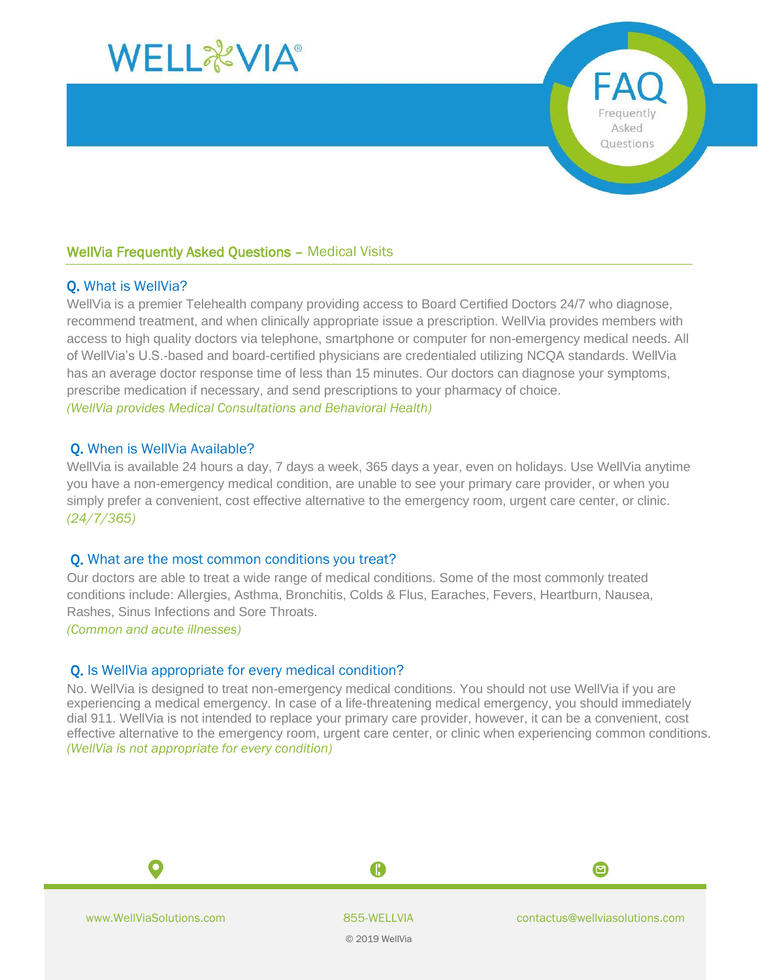

# WellVia Frequently Asked Questions – Medical Visits

## Q. What is WellVia?

WellVia is a premier Telehealth company providing access to Board Certified Doctors 24/7 who diagnose, recommend treatment, and when clinically appropriate issue a prescription. WellVia provides members with access to high quality doctors via telephone, smartphone or computer for non-emergency medical needs. All of WellVia's U.S.-based and board-certified physicians are credentialed utilizing NCQA standards. WellVia has an average doctor response time of less than 15 minutes. Our doctors can diagnose your symptoms, prescribe medication if necessary, and send prescriptions to your pharmacy of choice. *(WellVia provides Medical Consultations and Behavioral Health)*

### Q. When is WellVia Available?

WellVia is available 24 hours a day, 7 days a week, 365 days a year, even on holidays. Use WellVia anytime you have a non-emergency medical condition, are unable to see your primary care provider, or when you simply prefer a convenient, cost effective alternative to the emergency room, urgent care center, or clinic. *(24/7/365)*

### Q. What are the most common conditions you treat?

Our doctors are able to treat a wide range of medical conditions. Some of the most commonly treated conditions include: Allergies, Asthma, Bronchitis, Colds & Flus, Earaches, Fevers, Heartburn, Nausea, Rashes, Sinus Infections and Sore Throats.

*(Common and acute illnesses)*

## Q. Is WellVia appropriate for every medical condition?

No. WellVia is designed to treat non-emergency medical conditions. You should not use WellVia if you are experiencing a medical emergency. In case of a life-threatening medical emergency, you should immediately dial 911. WellVia is not intended to replace your primary care provider, however, it can be a convenient, cost effective alternative to the emergency room, urgent care center, or clinic when experiencing common conditions. *(WellVia is not appropriate for every condition)*



O

© 2019 WellVia

A

0

Frequently Asked Questions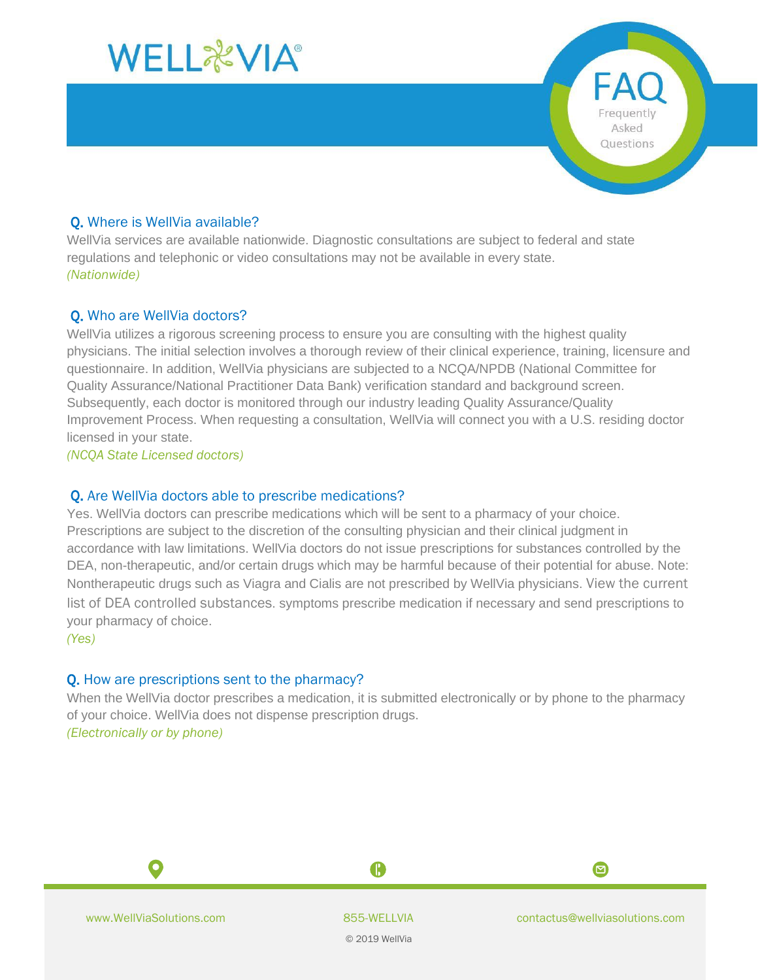

## Q. Where is WellVia available?

WellVia services are available nationwide. Diagnostic consultations are subject to federal and state regulations and telephonic or video consultations may not be available in every state. *(Nationwide)*

# Q. Who are WellVia doctors?

WellVia utilizes a rigorous screening process to ensure you are consulting with the highest quality physicians. The initial selection involves a thorough review of their clinical experience, training, licensure and questionnaire. In addition, WellVia physicians are subjected to a NCQA/NPDB (National Committee for Quality Assurance/National Practitioner Data Bank) verification standard and background screen. Subsequently, each doctor is monitored through our industry leading Quality Assurance/Quality Improvement Process. When requesting a consultation, WellVia will connect you with a U.S. residing doctor licensed in your state.

*(NCQA State Licensed doctors)*

### Q. Are WellVia doctors able to prescribe medications?

Yes. WellVia doctors can prescribe medications which will be sent to a pharmacy of your choice. Prescriptions are subject to the discretion of the consulting physician and their clinical judgment in accordance with law limitations. WellVia doctors do not issue prescriptions for substances controlled by the DEA, non-therapeutic, and/or certain drugs which may be harmful because of their potential for abuse. Note: Nontherapeutic drugs such as Viagra and Cialis are not prescribed by WellVia physicians. [View the current](https://www.deadiversion.usdoj.gov/schedules/orangebook/c_cs_alpha.pdf)  [list of DEA controlled substances](https://www.deadiversion.usdoj.gov/schedules/orangebook/c_cs_alpha.pdf). symptoms prescribe medication if necessary and send prescriptions to your pharmacy of choice.

*(Yes)*

# Q. How are prescriptions sent to the pharmacy?

When the WellVia doctor prescribes a medication, it is submitted electronically or by phone to the pharmacy of your choice. WellVia does not dispense prescription drugs. *(Electronically or by phone)*

O

© 2019 WellVia

A

0